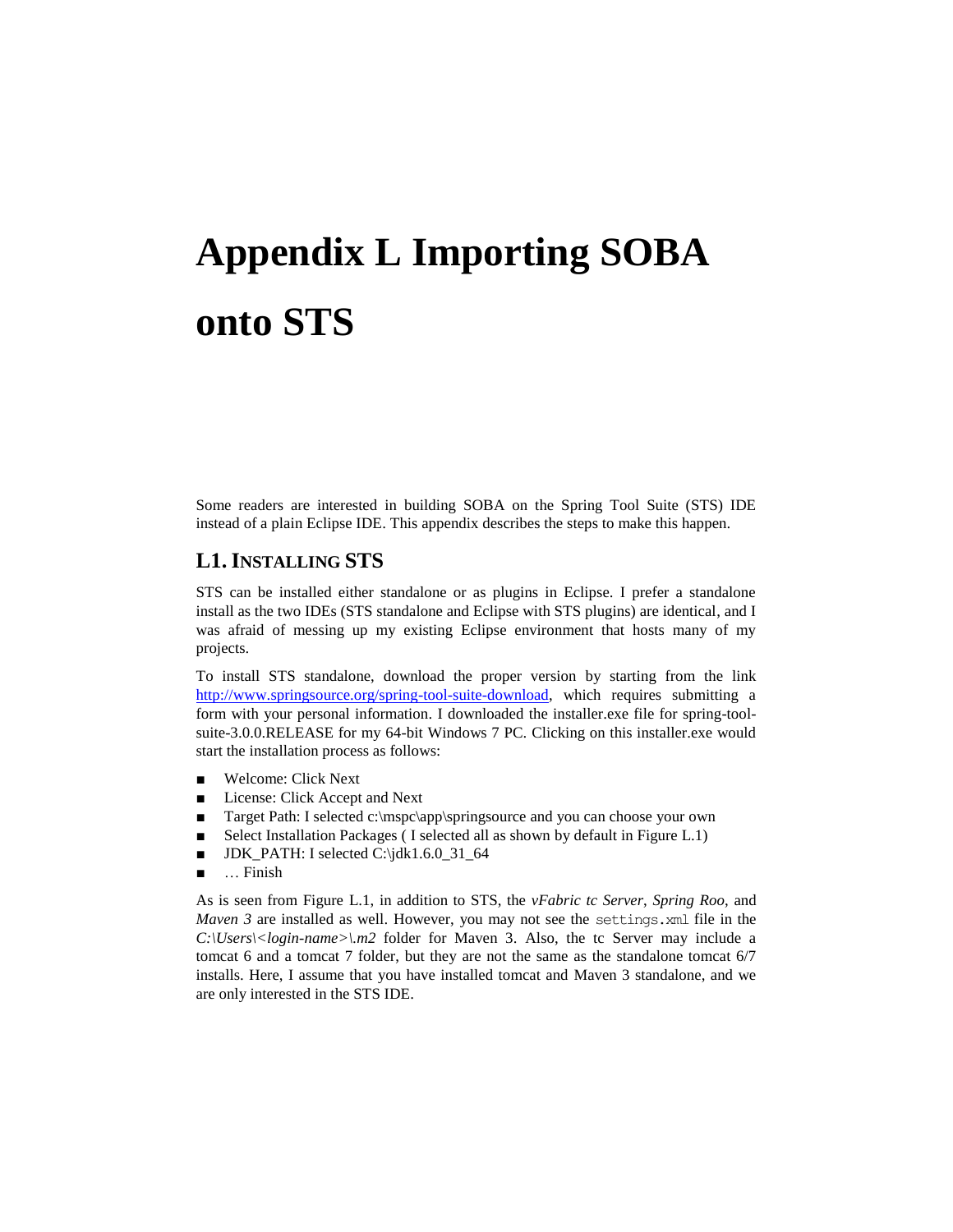# **Appendix L Importing SOBA onto STS**

Some readers are interested in building SOBA on the Spring Tool Suite (STS) IDE instead of a plain Eclipse IDE. This appendix describes the steps to make this happen.

### **L1. INSTALLING STS**

STS can be installed either standalone or as plugins in Eclipse. I prefer a standalone install as the two IDEs (STS standalone and Eclipse with STS plugins) are identical, and I was afraid of messing up my existing Eclipse environment that hosts many of my projects.

To install STS standalone, download the proper version by starting from the link [http://www.springsource.org/spring-tool-suite-download,](http://www.springsource.org/spring-tool-suite-download) which requires submitting a form with your personal information. I downloaded the installer.exe file for spring-toolsuite-3.0.0.RELEASE for my 64-bit Windows 7 PC. Clicking on this installer.exe would start the installation process as follows:

- Welcome: Click Next
- License: Click Accept and Next
- Target Path: I selected c:\mspc\app\springsource and you can choose your own
- Select Installation Packages (I selected all as shown by default in Figure L.1)
- $\blacksquare$  JDK\_PATH: I selected C:\jdk1.6.0\_31\_64
- … Finish

As is seen from Figure L.1, in addition to STS, the *vFabric tc Server*, *Spring Roo*, and *Maven 3* are installed as well. However, you may not see the settings, xml file in the  $C:\Upsilon\leq C:\Upsilon\leq C$  *C: Users* < *compared in 2. Also, the tc Server may include a* tomcat 6 and a tomcat 7 folder, but they are not the same as the standalone tomcat 6/7 installs. Here, I assume that you have installed tomcat and Maven 3 standalone, and we are only interested in the STS IDE.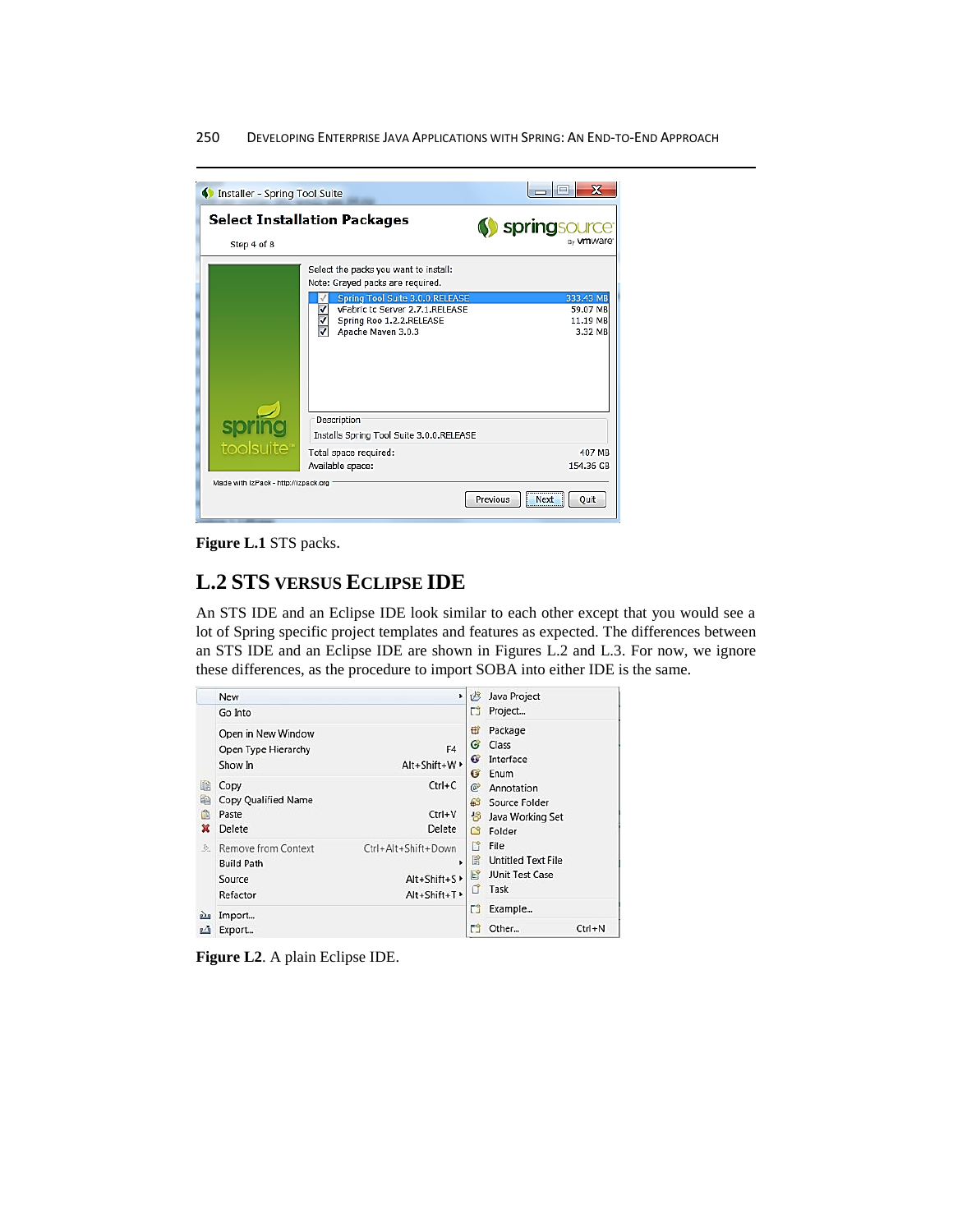#### 250DEVELOPING ENTERPRISE JAVA APPLICATIONS WITH SPRING: AN END-TO-END APPROACH

| Installer - Spring Tool Suite                                  |                                                                                                                                                                                                   | х                                               |
|----------------------------------------------------------------|---------------------------------------------------------------------------------------------------------------------------------------------------------------------------------------------------|-------------------------------------------------|
| Step 4 of 8                                                    | <b>Select Installation Packages</b>                                                                                                                                                               | Springsour<br><sub>sv</sub> <b>vm</b> ware      |
|                                                                | Select the packs you want to install:<br>Note: Grayed packs are required.<br>Spring Tool Suite 3.0.0.RELEASE<br>vFabric tc Server 2.7.1.RELEASE<br>Spring Roo 1.2.2.RELEASE<br>Apache Maven 3.0.3 | 333.43 MB<br>59.07 MB<br>11.19 MB<br>3.32 MB    |
| toolsuite <sup>"</sup><br>Made with IzPack - http://izpack.org | Description<br>Installs Spring Tool Suite 3.0.0.RELEASE<br>Total space required:<br>Available space:                                                                                              | 407 MB<br>154.36 GB<br>Previous<br>Next<br>Quit |

**Figure L.1** STS packs.

## **L.2 STS VERSUS ECLIPSE IDE**

An STS IDE and an Eclipse IDE look similar to each other except that you would see a lot of Spring specific project templates and features as expected. The differences between an STS IDE and an Eclipse IDE are shown in Figures L.2 and L.3. For now, we ignore these differences, as the procedure to import SOBA into either IDE is the same.

|                      | <b>New</b>                                                                                                                                                               | ٠                                                          | 垱                              | Java Project                                                        |            |
|----------------------|--------------------------------------------------------------------------------------------------------------------------------------------------------------------------|------------------------------------------------------------|--------------------------------|---------------------------------------------------------------------|------------|
|                      | Go Into                                                                                                                                                                  |                                                            |                                | Project                                                             |            |
| 曕<br>睡<br>爬<br>×     | Open in New Window<br>F4<br>Open Type Hierarchy<br>Alt+Shift+W ><br>Show In<br>$Ctrl+C$<br>Copy<br><b>Copy Qualified Name</b><br>$Ctrl + V$<br>Paste<br>Delete<br>Delete |                                                            | ₩<br>G<br>G<br>G               | Package<br>Class<br>Interface<br>Enum                               |            |
|                      |                                                                                                                                                                          |                                                            | C<br>தி<br>书<br>C <sup>9</sup> | Annotation<br>Source Folder<br>Java Working Set<br>Folder           |            |
| $\mathcal{D}$        | Remove from Context<br><b>Build Path</b><br>Source<br>Refactor                                                                                                           | Ctrl+Alt+Shift+Down<br>٠<br>Alt+Shift+S ><br>Alt+Shift+T > | $\Box$<br>旨<br>E?<br>đ         | File<br><b>Untitled Text File</b><br><b>JUnit Test Case</b><br>Task |            |
| ph <sub>1</sub><br>凸 | Import<br>Export                                                                                                                                                         |                                                            | ĒÎ<br>門                        | Example<br>Other                                                    | $Ctrl + N$ |

**Figure L2**. A plain Eclipse IDE.